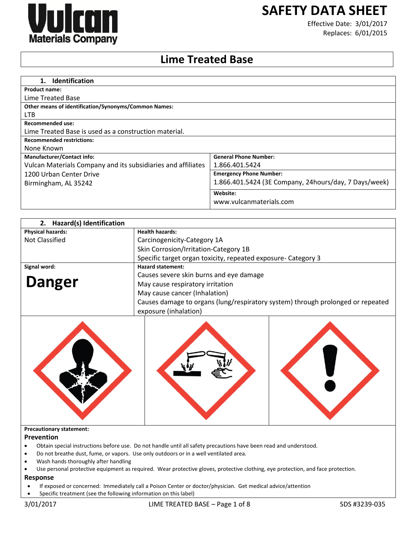

# **SAFETY DATA SHEET**

Effective Date: 3/01/2017 Replaces: 6/01/2015

## **Lime Treated Base**

| 1. Identification                                            |                                                       |
|--------------------------------------------------------------|-------------------------------------------------------|
| <b>Product name:</b>                                         |                                                       |
| Lime Treated Base                                            |                                                       |
| <b>Other means of identification/Synonyms/Common Names:</b>  |                                                       |
| <b>LTB</b>                                                   |                                                       |
| Recommended use:                                             |                                                       |
| Lime Treated Base is used as a construction material.        |                                                       |
| <b>Recommended restrictions:</b>                             |                                                       |
| None Known                                                   |                                                       |
| <b>Manufacturer/Contact info:</b>                            | <b>General Phone Number:</b>                          |
| Vulcan Materials Company and its subsidiaries and affiliates | 1.866.401.5424                                        |
| 1200 Urban Center Drive                                      | <b>Emergency Phone Number:</b>                        |
| Birmingham, AL 35242                                         | 1.866.401.5424 (3E Company, 24hours/day, 7 Days/week) |
|                                                              | Website:                                              |
|                                                              | www.vulcanmaterials.com                               |

| 2. Hazard(s) Identification |                                                                                                          |
|-----------------------------|----------------------------------------------------------------------------------------------------------|
| <b>Physical hazards:</b>    | <b>Health hazards:</b>                                                                                   |
| Not Classified              | Carcinogenicity-Category 1A                                                                              |
|                             | Skin Corrosion/Irritation-Category 1B                                                                    |
|                             | Specific target organ toxicity, repeated exposure- Category 3                                            |
| Signal word:                | <b>Hazard statement:</b>                                                                                 |
|                             | Causes severe skin burns and eye damage                                                                  |
| <b>Danger</b>               | May cause respiratory irritation                                                                         |
|                             | May cause cancer (Inhalation)                                                                            |
|                             | Causes damage to organs (lung/respiratory system) through prolonged or repeated<br>exposure (inhalation) |



### **Precautionary statement:**

### **Prevention**

- Obtain special instructions before use. Do not handle until all safety precautions have been read and understood.
- Do not breathe dust, fume, or vapors. Use only outdoors or in a well ventilated area.
- Wash hands thoroughly after handling
- Use personal protective equipment as required. Wear protective gloves, protective clothing, eye protection, and face protection.

### **Response**

- If exposed or concerned: Immediately call a Poison Center or doctor/physician. Get medical advice/attention
- Specific treatment (see the following information on this label)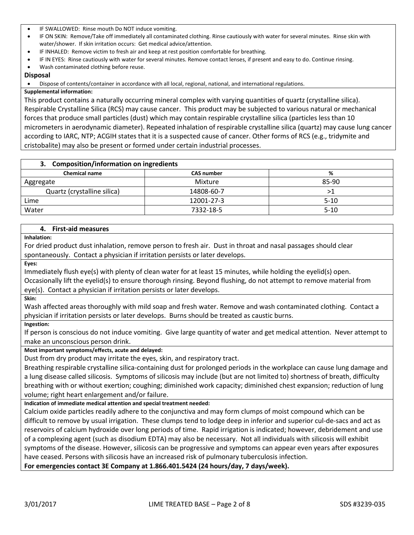- IF SWALLOWED: Rinse mouth Do NOT induce vomiting.
- IF ON SKIN: Remove/Take off immediately all contaminated clothing. Rinse cautiously with water for several minutes. Rinse skin with water/shower. If skin irritation occurs: Get medical advice/attention.
- IF INHALED: Remove victim to fresh air and keep at rest position comfortable for breathing.
- IF IN EYES: Rinse cautiously with water for several minutes. Remove contact lenses, if present and easy to do. Continue rinsing.
- Wash contaminated clothing before reuse.

### **Disposal**

Dispose of contents/container in accordance with all local, regional, national, and international regulations.

### **Supplemental information:**

This product contains a naturally occurring mineral complex with varying quantities of quartz (crystalline silica). Respirable Crystalline Silica (RCS) may cause cancer. This product may be subjected to various natural or mechanical forces that produce small particles (dust) which may contain respirable crystalline silica (particles less than 10 micrometers in aerodynamic diameter). Repeated inhalation of respirable crystalline silica (quartz) may cause lung cancer according to IARC, NTP; ACGIH states that it is a suspected cause of cancer. Other forms of RCS (e.g., tridymite and cristobalite) may also be present or formed under certain industrial processes.

| 3. Composition/information on ingredients |                   |          |
|-------------------------------------------|-------------------|----------|
| <b>Chemical name</b>                      | <b>CAS number</b> | %        |
| Aggregate                                 | Mixture           | 85-90    |
| Quartz (crystalline silica)               | 14808-60-7        | >1       |
| Lime                                      | 12001-27-3        | $5-10$   |
| Water                                     | 7332-18-5         | $5 - 10$ |

### **4. First-aid measures**

**Inhalation:**

For dried product dust inhalation, remove person to fresh air. Dust in throat and nasal passages should clear spontaneously. Contact a physician if irritation persists or later develops.

**Eyes:** 

Immediately flush eye(s) with plenty of clean water for at least 15 minutes, while holding the eyelid(s) open. Occasionally lift the eyelid(s) to ensure thorough rinsing. Beyond flushing, do not attempt to remove material from eye(s). Contact a physician if irritation persists or later develops.

**Skin:** 

Wash affected areas thoroughly with mild soap and fresh water. Remove and wash contaminated clothing. Contact a physician if irritation persists or later develops. Burns should be treated as caustic burns.

### **Ingestion:**

If person is conscious do not induce vomiting. Give large quantity of water and get medical attention. Never attempt to make an unconscious person drink.

### **Most important symptoms/effects, acute and delayed:**

Dust from dry product may irritate the eyes, skin, and respiratory tract.

Breathing respirable crystalline silica-containing dust for prolonged periods in the workplace can cause lung damage and a lung disease called silicosis. Symptoms of silicosis may include (but are not limited to) shortness of breath, difficulty breathing with or without exertion; coughing; diminished work capacity; diminished chest expansion; reduction of lung volume; right heart enlargement and/or failure.

### **Indication of immediate medical attention and special treatment needed:**

Calcium oxide particles readily adhere to the conjunctiva and may form clumps of moist compound which can be difficult to remove by usual irrigation. These clumps tend to lodge deep in inferior and superior cul-de-sacs and act as reservoirs of calcium hydroxide over long periods of time. Rapid irrigation is indicated; however, debridement and use of a complexing agent (such as disodium EDTA) may also be necessary. Not all individuals with silicosis will exhibit symptoms of the disease. However, silicosis can be progressive and symptoms can appear even years after exposures have ceased. Persons with silicosis have an increased risk of pulmonary tuberculosis infection.

**For emergencies contact 3E Company at 1.866.401.5424 (24 hours/day, 7 days/week).**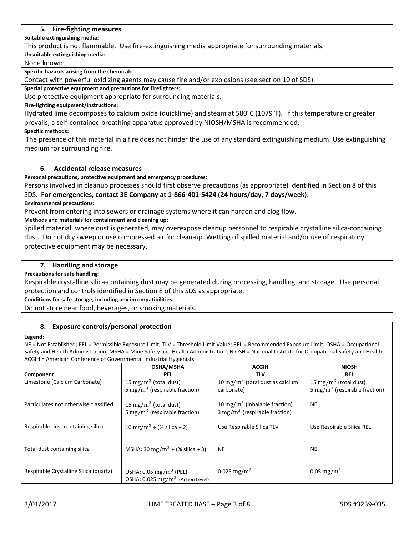### **5. Fire-fighting measures**

**Suitable extinguishing media:**

This product is not flammable. Use fire-extinguishing media appropriate for surrounding materials.

**Unsuitable extinguishing media:**

None known.

**Specific hazards arising from the chemical:**

Contact with powerful oxidizing agents may cause fire and/or explosions (see section 10 of SDS).

**Special protective equipment and precautions for firefighters:**

Use protective equipment appropriate for surrounding materials.

### **Fire-fighting equipment/instructions:**

Hydrated lime decomposes to calcium oxide (quicklime) and steam at 580°C (1079°F). If this temperature or greater prevails, a self-contained breathing apparatus approved by NIOSH/MSHA is recommended.

**Specific methods:**

The presence of this material in a fire does not hinder the use of any standard extinguishing medium. Use extinguishing medium for surrounding fire.

### **6. Accidental release measures**

**Personal precautions, protective equipment and emergency procedures:**

Persons involved in cleanup processes should first observe precautions (as appropriate) identified in Section 8 of this SDS. **For emergencies, contact 3E Company at 1-866-401-5424 (24 hours/day, 7 days/week)**.

**Environmental precautions:**

Prevent from entering into sewers or drainage systems where it can harden and clog flow.

**Methods and materials for containment and cleaning up:**

Spilled material, where dust is generated, may overexpose cleanup personnel to respirable crystalline silica-containing dust. Do not dry sweep or use compressed air for clean-up. Wetting of spilled material and/or use of respiratory protective equipment may be necessary.

### **7. Handling and storage**

**Precautions for safe handling:**

Respirable crystalline silica-containing dust may be generated during processing, handling, and storage. Use personal protection and controls identified in Section 8 of this SDS as appropriate.

**Conditions for safe storage, including any incompatibilities:**

Do not store near food, beverages, or smoking materials.

### **8. Exposure controls/personal protection**

### **Legend:**

NE = Not Established; PEL = Permissible Exposure Limit; TLV = Threshold Limit Value; REL = Recommended Exposure Limit; OSHA = Occupational Safety and Health Administration; MSHA = Mine Safety and Health Administration; NIOSH = National Institute for Occupational Safety and Health; ACGIH = American Conference of Governmental Industrial Hygienists

|                                        | <b>OSHA/MSHA</b>                               | <b>ACGIH</b>                                | <b>NIOSH</b>                              |
|----------------------------------------|------------------------------------------------|---------------------------------------------|-------------------------------------------|
| Component                              | <b>PEL</b>                                     | <b>TLV</b>                                  | <b>REL</b>                                |
| Limestone (Calcium Carbonate)          | 15 mg/m <sup>3</sup> (total dust)              | 10 mg/m <sup>3</sup> (total dust as calcium | 15 mg/m <sup>3</sup> (total dust)         |
|                                        | 5 mg/m <sup>3</sup> (respirable fraction)      | carbonate)                                  | 5 mg/m <sup>3</sup> (respirable fraction) |
| Particulates not otherwise classified  | 15 mg/m <sup>3</sup> (total dust)              | 10 mg/m <sup>3</sup> (inhalable fraction)   | <b>NE</b>                                 |
|                                        | 5 mg/m <sup>3</sup> (respirable fraction)      | $3 \text{ mg/m}^3$ (respirable fraction)    |                                           |
| Respirable dust containing silica      | 10 mg/m <sup>3</sup> ÷ (% silica + 2)          | Use Respirable Silica TLV                   | Use Respirable Silica REL                 |
|                                        |                                                |                                             |                                           |
| Total dust containing silica           | MSHA: 30 mg/m <sup>3</sup> ÷ (% silica + 3)    | <b>NE</b>                                   | <b>NE</b>                                 |
|                                        |                                                |                                             |                                           |
| Respirable Crystalline Silica (quartz) | OSHA: $0.05 \,\mathrm{mg/m^3}$ (PEL)           | 0.025 mg/m <sup>3</sup>                     | 0.05 mg/m <sup>3</sup>                    |
|                                        | OSHA: $0.025$ mg/m <sup>3</sup> (Action Level) |                                             |                                           |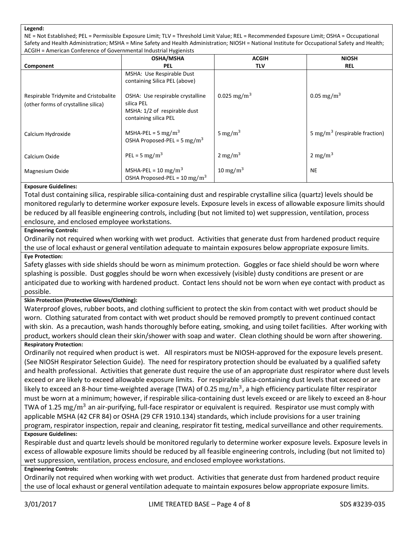### **Legend:**

NE = Not Established; PEL = Permissible Exposure Limit; TLV = Threshold Limit Value; REL = Recommended Exposure Limit; OSHA = Occupational Safety and Health Administration; MSHA = Mine Safety and Health Administration; NIOSH = National Institute for Occupational Safety and Health; ACGIH = American Conference of Governmental Industrial Hygienists

|                                                                              | <b>OSHA/MSHA</b>                                                                                        | <b>ACGIH</b>            | <b>NIOSH</b>                              |
|------------------------------------------------------------------------------|---------------------------------------------------------------------------------------------------------|-------------------------|-------------------------------------------|
| Component                                                                    | <b>PEL</b>                                                                                              | <b>TLV</b>              | <b>REL</b>                                |
|                                                                              | MSHA: Use Respirable Dust<br>containing Silica PEL (above)                                              |                         |                                           |
| Respirable Tridymite and Cristobalite<br>(other forms of crystalline silica) | OSHA: Use respirable crystalline<br>silica PEL<br>MSHA: 1/2 of respirable dust<br>containing silica PEL | 0.025 mg/m <sup>3</sup> | 0.05 mg/m <sup>3</sup>                    |
| Calcium Hydroxide                                                            | MSHA-PEL = $5 \text{ mg/m}^3$<br>OSHA Proposed-PEL = 5 mg/m <sup>3</sup>                                | 5 mg/m <sup>3</sup>     | 5 mg/m <sup>3</sup> (respirable fraction) |
| Calcium Oxide                                                                | PEL = $5 \text{ mg/m}^3$                                                                                | $2 \text{ mg/m}^3$      | $2 \text{ mg/m}^3$                        |
| Magnesium Oxide                                                              | MSHA-PEL = $10 \text{ mg/m}^3$<br>OSHA Proposed-PEL = $10 \text{ mg/m}^3$                               | 10 mg/m <sup>3</sup>    | <b>NE</b>                                 |

### **Exposure Guidelines:**

Total dust containing silica, respirable silica-containing dust and respirable crystalline silica (quartz) levels should be monitored regularly to determine worker exposure levels. Exposure levels in excess of allowable exposure limits should be reduced by all feasible engineering controls, including (but not limited to) wet suppression, ventilation, process enclosure, and enclosed employee workstations.

### **Engineering Controls:**

Ordinarily not required when working with wet product. Activities that generate dust from hardened product require the use of local exhaust or general ventilation adequate to maintain exposures below appropriate exposure limits. **Eye Protection:**

Safety glasses with side shields should be worn as minimum protection. Goggles or face shield should be worn where splashing is possible. Dust goggles should be worn when excessively (visible) dusty conditions are present or are anticipated due to working with hardened product. Contact lens should not be worn when eye contact with product as possible.

### **Skin Protection (Protective Gloves/Clothing):**

Waterproof gloves, rubber boots, and clothing sufficient to protect the skin from contact with wet product should be worn. Clothing saturated from contact with wet product should be removed promptly to prevent continued contact with skin. As a precaution, wash hands thoroughly before eating, smoking, and using toilet facilities. After working with product, workers should clean their skin/shower with soap and water. Clean clothing should be worn after showering. **Respiratory Protection:**

Ordinarily not required when product is wet. All respirators must be NIOSH-approved for the exposure levels present. (See NIOSH Respirator Selection Guide). The need for respiratory protection should be evaluated by a qualified safety and health professional. Activities that generate dust require the use of an appropriate dust respirator where dust levels exceed or are likely to exceed allowable exposure limits. For respirable silica-containing dust levels that exceed or are likely to exceed an 8-hour time-weighted average (TWA) of 0.25  $\rm mg/m^3$ , a high efficiency particulate filter respirator must be worn at a minimum; however, if respirable silica-containing dust levels exceed or are likely to exceed an 8-hour TWA of 1.25  $\rm mg/m^3$  an air-purifying, full-face respirator or equivalent is required. Respirator use must comply with applicable MSHA (42 CFR 84) or OSHA (29 CFR 1910.134) standards, which include provisions for a user training program, respirator inspection, repair and cleaning, respirator fit testing, medical surveillance and other requirements. **Exposure Guidelines:**

Respirable dust and quartz levels should be monitored regularly to determine worker exposure levels. Exposure levels in excess of allowable exposure limits should be reduced by all feasible engineering controls, including (but not limited to) wet suppression, ventilation, process enclosure, and enclosed employee workstations.

### **Engineering Controls:**

Ordinarily not required when working with wet product. Activities that generate dust from hardened product require the use of local exhaust or general ventilation adequate to maintain exposures below appropriate exposure limits.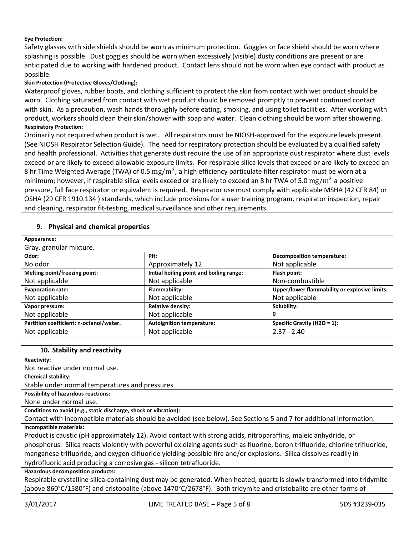### **Eye Protection:**

Safety glasses with side shields should be worn as minimum protection. Goggles or face shield should be worn where splashing is possible. Dust goggles should be worn when excessively (visible) dusty conditions are present or are anticipated due to working with hardened product. Contact lens should not be worn when eye contact with product as possible.

### **Skin Protection (Protective Gloves/Clothing):**

Waterproof gloves, rubber boots, and clothing sufficient to protect the skin from contact with wet product should be worn. Clothing saturated from contact with wet product should be removed promptly to prevent continued contact with skin. As a precaution, wash hands thoroughly before eating, smoking, and using toilet facilities. After working with product, workers should clean their skin/shower with soap and water. Clean clothing should be worn after showering.

### **Respiratory Protection:**

Ordinarily not required when product is wet. All respirators must be NIOSH-approved for the exposure levels present. (See NIOSH Respirator Selection Guide). The need for respiratory protection should be evaluated by a qualified safety and health professional. Activities that generate dust require the use of an appropriate dust respirator where dust levels exceed or are likely to exceed allowable exposure limits. For respirable silica levels that exceed or are likely to exceed an 8 hr Time Weighted Average (TWA) of 0.5 mg/m<sup>3</sup>, a high efficiency particulate filter respirator must be worn at a minimum; however, if respirable silica levels exceed or are likely to exceed an 8 hr TWA of 5.0  $\text{mg/m}^3$  a positive pressure, full face respirator or equivalent is required. Respirator use must comply with applicable MSHA (42 CFR 84) or OSHA (29 CFR 1910.134 ) standards, which include provisions for a user training program, respirator inspection, repair and cleaning, respirator fit-testing, medical surveillance and other requirements.

### **9. Physical and chemical properties**

| Appearance:                             |                                          |                                               |
|-----------------------------------------|------------------------------------------|-----------------------------------------------|
| Gray, granular mixture.                 |                                          |                                               |
| Odor:                                   | PH:                                      | <b>Decomposition temperature:</b>             |
| No odor.                                | Approximately 12                         | Not applicable                                |
| Melting point/freezing point:           | Initial boiling point and boiling range: | Flash point:                                  |
| Not applicable                          | Not applicable                           | Non-combustible                               |
| <b>Evaporation rate:</b>                | Flammability:                            | Upper/lower flammability or explosive limits: |
| Not applicable                          | Not applicable                           | Not applicable                                |
| Vapor pressure:                         | <b>Relative density:</b>                 | Solubility:                                   |
| Not applicable                          | Not applicable                           | 0                                             |
| Partition coefficient: n-octanol/water. | <b>Autoignition temperature:</b>         | Specific Gravity (H2O = $1$ ):                |
| Not applicable                          | Not applicable                           | $2.37 - 2.40$                                 |

### **10. Stability and reactivity**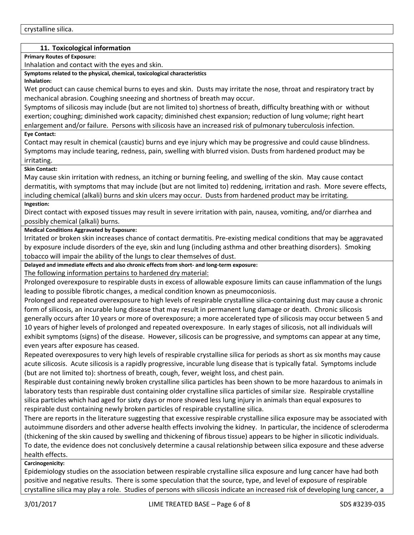### **11. Toxicological information**

**Primary Routes of Exposure:**

Inhalation and contact with the eyes and skin.

**Symptoms related to the physical, chemical, toxicological characteristics**

**Inhalation:**

Wet product can cause chemical burns to eyes and skin. Dusts may irritate the nose, throat and respiratory tract by mechanical abrasion. Coughing sneezing and shortness of breath may occur.

Symptoms of silicosis may include (but are not limited to) shortness of breath, difficulty breathing with or without exertion; coughing; diminished work capacity; diminished chest expansion; reduction of lung volume; right heart enlargement and/or failure. Persons with silicosis have an increased risk of pulmonary tuberculosis infection.

### **Eye Contact:**

Contact may result in chemical (caustic) burns and eye injury which may be progressive and could cause blindness. Symptoms may include tearing, redness, pain, swelling with blurred vision. Dusts from hardened product may be irritating.

### **Skin Contact:**

May cause skin irritation with redness, an itching or burning feeling, and swelling of the skin. May cause contact dermatitis, with symptoms that may include (but are not limited to) reddening, irritation and rash. More severe effects, including chemical (alkali) burns and skin ulcers may occur. Dusts from hardened product may be irritating.

### **Ingestion:**

Direct contact with exposed tissues may result in severe irritation with pain, nausea, vomiting, and/or diarrhea and possibly chemical (alkali) burns.

### **Medical Conditions Aggravated by Exposure:**

Irritated or broken skin increases chance of contact dermatitis. Pre-existing medical conditions that may be aggravated by exposure include disorders of the eye, skin and lung (including asthma and other breathing disorders). Smoking tobacco will impair the ability of the lungs to clear themselves of dust.

**Delayed and immediate effects and also chronic effects from short- and long-term exposure:**

The following information pertains to hardened dry material:

Prolonged overexposure to respirable dusts in excess of allowable exposure limits can cause inflammation of the lungs leading to possible fibrotic changes, a medical condition known as pneumoconiosis.

Prolonged and repeated overexposure to high levels of respirable crystalline silica-containing dust may cause a chronic form of silicosis, an incurable lung disease that may result in permanent lung damage or death. Chronic silicosis generally occurs after 10 years or more of overexposure; a more accelerated type of silicosis may occur between 5 and 10 years of higher levels of prolonged and repeated overexposure. In early stages of silicosis, not all individuals will exhibit symptoms (signs) of the disease. However, silicosis can be progressive, and symptoms can appear at any time, even years after exposure has ceased.

Repeated overexposures to very high levels of respirable crystalline silica for periods as short as six months may cause acute silicosis. Acute silicosis is a rapidly progressive, incurable lung disease that is typically fatal. Symptoms include (but are not limited to): shortness of breath, cough, fever, weight loss, and chest pain.

Respirable dust containing newly broken crystalline silica particles has been shown to be more hazardous to animals in laboratory tests than respirable dust containing older crystalline silica particles of similar size. Respirable crystalline silica particles which had aged for sixty days or more showed less lung injury in animals than equal exposures to respirable dust containing newly broken particles of respirable crystalline silica.

There are reports in the literature suggesting that excessive respirable crystalline silica exposure may be associated with autoimmune disorders and other adverse health effects involving the kidney. In particular, the incidence of scleroderma (thickening of the skin caused by swelling and thickening of fibrous tissue) appears to be higher in silicotic individuals. To date, the evidence does not conclusively determine a causal relationship between silica exposure and these adverse health effects.

### **Carcinogenicity:**

Epidemiology studies on the association between respirable crystalline silica exposure and lung cancer have had both positive and negative results. There is some speculation that the source, type, and level of exposure of respirable crystalline silica may play a role. Studies of persons with silicosis indicate an increased risk of developing lung cancer, a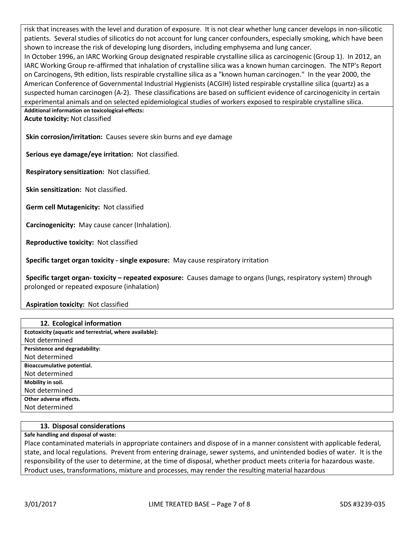risk that increases with the level and duration of exposure. It is not clear whether lung cancer develops in non-silicotic patients. Several studies of silicotics do not account for lung cancer confounders, especially smoking, which have been shown to increase the risk of developing lung disorders, including emphysema and lung cancer. In October 1996, an IARC Working Group designated respirable crystalline silica as carcinogenic (Group 1). In 2012, an IARC Working Group re-affirmed that inhalation of crystalline silica was a known human carcinogen. The NTP's Report on Carcinogens, 9th edition, lists respirable crystalline silica as a "known human carcinogen." In the year 2000, the American Conference of Governmental Industrial Hygienists (ACGIH) listed respirable crystalline silica (quartz) as a suspected human carcinogen (A-2). These classifications are based on sufficient evidence of carcinogenicity in certain experimental animals and on selected epidemiological studies of workers exposed to respirable crystalline silica. **Additional information on toxicological-effects:**

**Acute toxicity:** Not classified

**Skin corrosion/irritation:** Causes severe skin burns and eye damage

**Serious eye damage/eye irritation:** Not classified.

**Respiratory sensitization:** Not classified.

**Skin sensitization:** Not classified.

**Germ cell Mutagenicity:** Not classified

**Carcinogenicity:** May cause cancer (Inhalation).

**Reproductive toxicity:** Not classified

**Specific target organ toxicity - single exposure:** May cause respiratory irritation

**Specific target organ- toxicity – repeated exposure:** Causes damage to organs (lungs, respiratory system) through prolonged or repeated exposure (inhalation)

**Aspiration toxicity:** Not classified

| 12. Ecological information                              |
|---------------------------------------------------------|
| Ecotoxicity (aquatic and terrestrial, where available): |
| Not determined                                          |
| Persistence and degradability:                          |
| Not determined                                          |
| Bioaccumulative potential.                              |
| Not determined                                          |
| Mobility in soil.                                       |
| Not determined                                          |
| Other adverse effects.                                  |
| Not determined                                          |

### **13. Disposal considerations**

**Safe handling and disposal of waste:**

Place contaminated materials in appropriate containers and dispose of in a manner consistent with applicable federal, state, and local regulations. Prevent from entering drainage, sewer systems, and unintended bodies of water. It is the responsibility of the user to determine, at the time of disposal, whether product meets criteria for hazardous waste. Product uses, transformations, mixture and processes, may render the resulting material hazardous